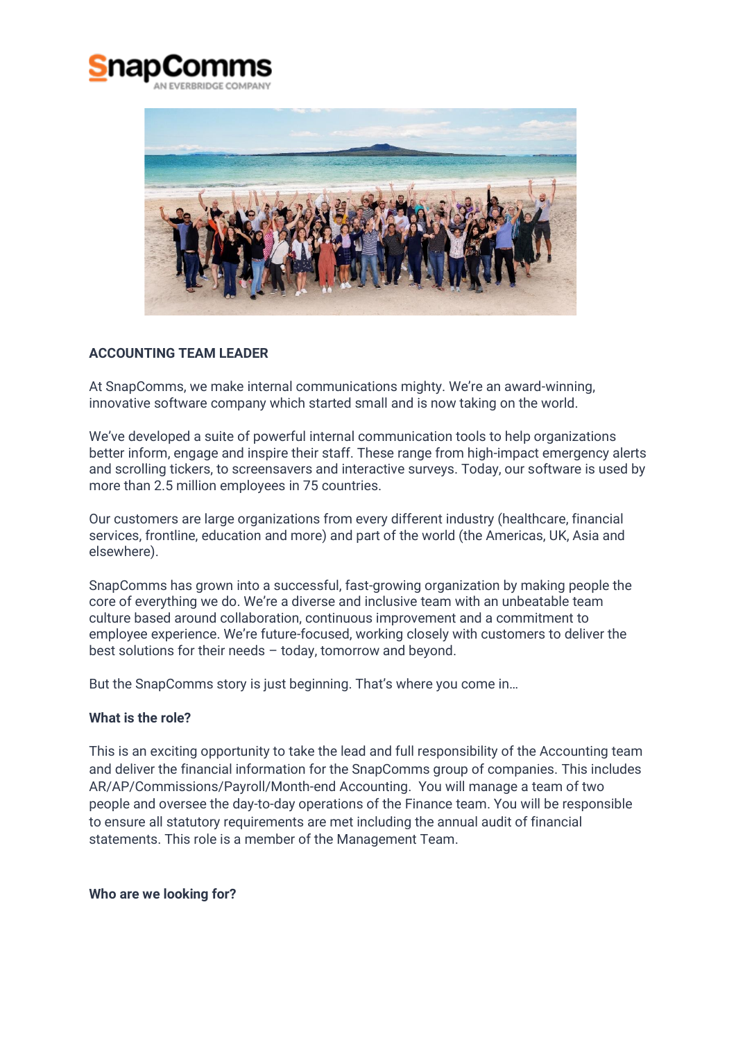



# **ACCOUNTING TEAM LEADER**

At SnapComms, we make internal communications mighty. We're an award-winning, innovative software company which started small and is now taking on the world.

We've developed a suite of powerful internal communication tools to help organizations better inform, engage and inspire their staff. These range from high-impact emergency alerts and scrolling tickers, to screensavers and interactive surveys. Today, our software is used by more than 2.5 million employees in 75 countries.

Our customers are large organizations from every different industry (healthcare, financial services, frontline, education and more) and part of the world (the Americas, UK, Asia and elsewhere).

SnapComms has grown into a successful, fast-growing organization by making people the core of everything we do. We're a diverse and inclusive team with an unbeatable team culture based around collaboration, continuous improvement and a commitment to employee experience. We're future-focused, working closely with customers to deliver the best solutions for their needs – today, tomorrow and beyond.

But the SnapComms story is just beginning. That's where you come in…

## **What is the role?**

This is an exciting opportunity to take the lead and full responsibility of the Accounting team and deliver the financial information for the SnapComms group of companies. This includes AR/AP/Commissions/Payroll/Month-end Accounting. You will manage a team of two people and oversee the day-to-day operations of the Finance team. You will be responsible to ensure all statutory requirements are met including the annual audit of financial statements. This role is a member of the Management Team.

**Who are we looking for?**